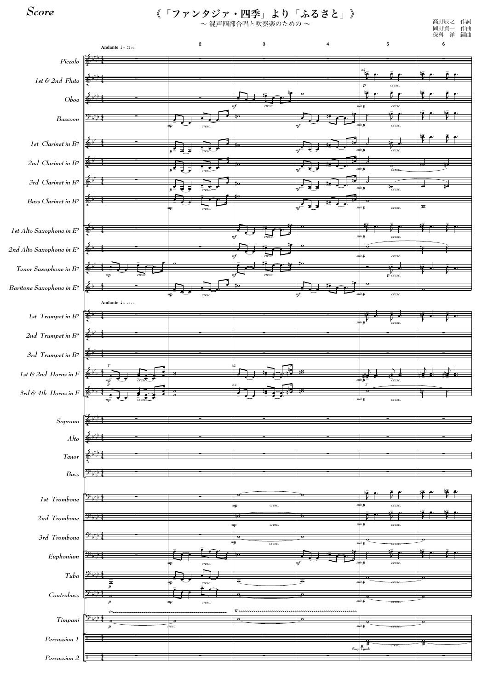

《「ファンタジァ・四季」より「ふるさと」》

~ 混声四部合唱と吹奏楽のための ~

*Score*

高野辰之 作詞 岡野貞一 作曲 保科 洋 編曲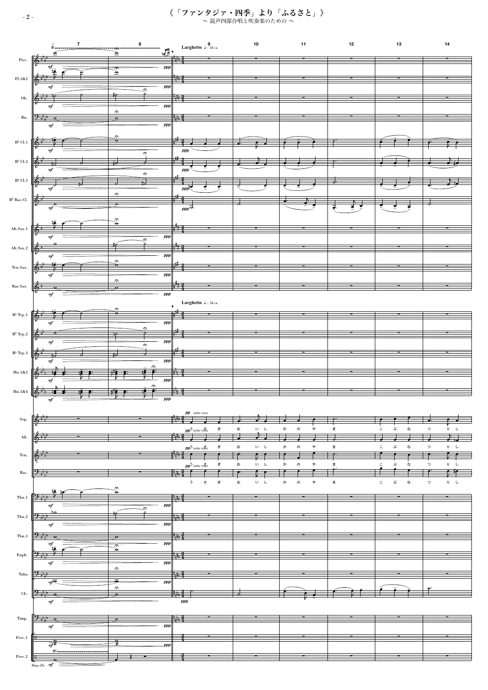《「ファンタジァ・四季」より「ふるさと」》  $\sim$ 混声四部合唱と吹奏楽のための $\sim$ 

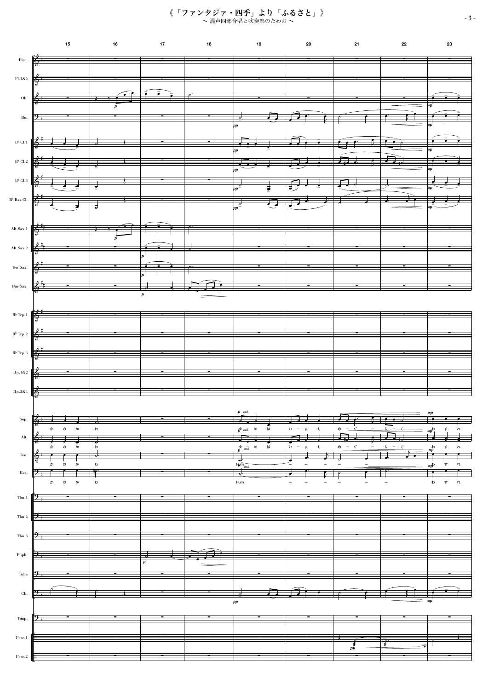



《「ファンタジァ・四季」より「ふるさと」》 ~ 混声四部合唱と吹奏楽のための ~ - 3 -